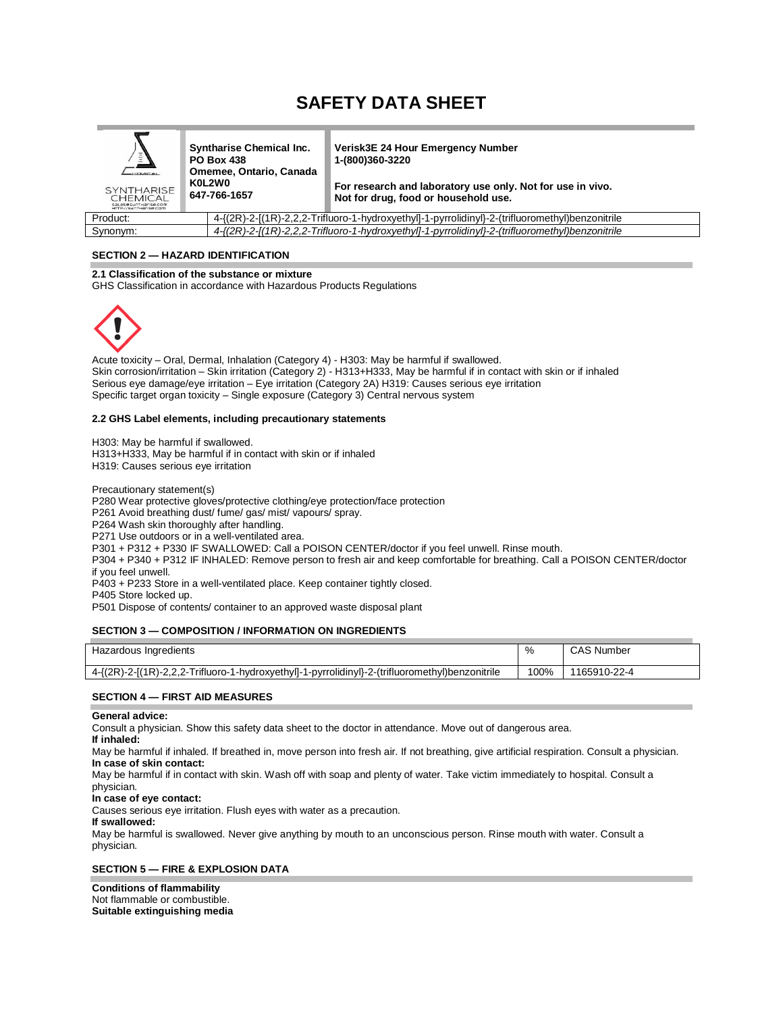# **SAFETY DATA SHEET**

| $\bar{z}$<br><b>HEMICAL</b><br><b>SYNTHARISE</b><br><b>CHEMICAL</b><br>Saleses workarise.com<br>HTTP://SunTHarise.com | <b>Syntharise Chemical Inc.</b><br><b>PO Box 438</b><br>Omemee, Ontario, Canada<br>K0L2W0<br>647-766-1657 | <b>Verisk3E 24 Hour Emergency Number</b><br>1-(800)360-3220<br>For research and laboratory use only. Not for use in vivo.<br>Not for drug, food or household use. |
|-----------------------------------------------------------------------------------------------------------------------|-----------------------------------------------------------------------------------------------------------|-------------------------------------------------------------------------------------------------------------------------------------------------------------------|
| Product:                                                                                                              |                                                                                                           | 4-{(2R)-2-[(1R)-2,2,2-Trifluoro-1-hydroxyethyl]-1-pyrrolidinyl}-2-(trifluoromethyl)benzonitrile                                                                   |
| Synonym:                                                                                                              |                                                                                                           | 4-{(2R)-2-[(1R)-2,2,2-Trifluoro-1-hydroxyethyl]-1-pyrrolidinyl}-2-(trifluoromethyl)benzonitrile                                                                   |

**SECTION 2 — HAZARD IDENTIFICATION**

## **2.1 Classification of the substance or mixture**

GHS Classification in accordance with Hazardous Products Regulations



Acute toxicity – Oral, Dermal, Inhalation (Category 4) - H303: May be harmful if swallowed. Skin corrosion/irritation – Skin irritation (Category 2) - H313+H333, May be harmful if in contact with skin or if inhaled Serious eye damage/eye irritation – Eye irritation (Category 2A) H319: Causes serious eye irritation Specific target organ toxicity – Single exposure (Category 3) Central nervous system

#### **2.2 GHS Label elements, including precautionary statements**

H303: May be harmful if swallowed. H313+H333, May be harmful if in contact with skin or if inhaled H319: Causes serious eye irritation

Precautionary statement(s)

P280 Wear protective gloves/protective clothing/eye protection/face protection

P261 Avoid breathing dust/ fume/ gas/ mist/ vapours/ spray.

P264 Wash skin thoroughly after handling.

P271 Use outdoors or in a well-ventilated area.

P301 + P312 + P330 IF SWALLOWED: Call a POISON CENTER/doctor if you feel unwell. Rinse mouth.

P304 + P340 + P312 IF INHALED: Remove person to fresh air and keep comfortable for breathing. Call a POISON CENTER/doctor if you feel unwell.

P403 + P233 Store in a well-ventilated place. Keep container tightly closed.

P405 Store locked up.

P501 Dispose of contents/ container to an approved waste disposal plant

#### **SECTION 3 — COMPOSITION / INFORMATION ON INGREDIENTS**

| Hazardous Ingredients                                                                           | %    | Number<br><b>CAS</b> |
|-------------------------------------------------------------------------------------------------|------|----------------------|
| 4-{(2R)-2-[(1R)-2,2,2-Trifluoro-1-hydroxyethyl]-1-pyrrolidinyl}-2-(trifluoromethyl)benzonitrile | 100% | 1165910-22-4         |

#### **SECTION 4 — FIRST AID MEASURES**

#### **General advice:**

Consult a physician. Show this safety data sheet to the doctor in attendance. Move out of dangerous area.

## **If inhaled:**

May be harmful if inhaled. If breathed in, move person into fresh air. If not breathing, give artificial respiration. Consult a physician. **In case of skin contact:**

May be harmful if in contact with skin. Wash off with soap and plenty of water. Take victim immediately to hospital. Consult a physician.

#### **In case of eye contact:**

Causes serious eye irritation. Flush eyes with water as a precaution.

## **If swallowed:**

May be harmful is swallowed. Never give anything by mouth to an unconscious person. Rinse mouth with water. Consult a physician.

## **SECTION 5 — FIRE & EXPLOSION DATA**

**Conditions of flammability**  Not flammable or combustible. **Suitable extinguishing media**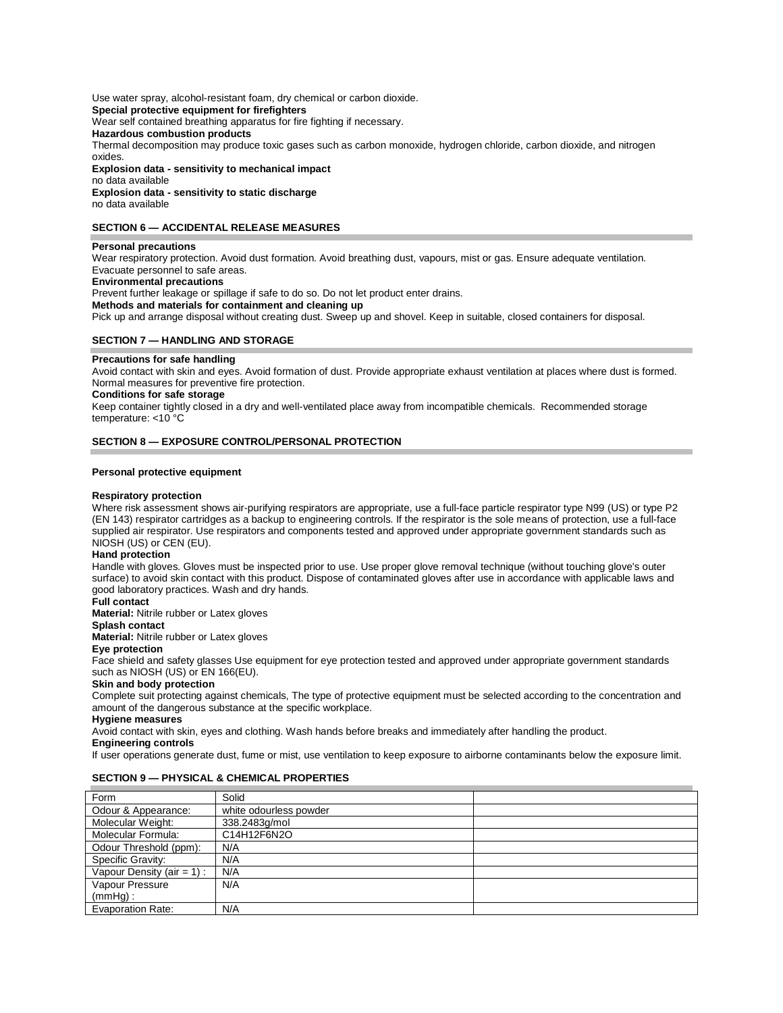Use water spray, alcohol-resistant foam, dry chemical or carbon dioxide. **Special protective equipment for firefighters**  Wear self contained breathing apparatus for fire fighting if necessary. **Hazardous combustion products**  Thermal decomposition may produce toxic gases such as carbon monoxide, hydrogen chloride, carbon dioxide, and nitrogen oxides. **Explosion data - sensitivity to mechanical impact** no data available

**Explosion data - sensitivity to static discharge**  no data available

#### **SECTION 6 — ACCIDENTAL RELEASE MEASURES**

#### **Personal precautions**

Wear respiratory protection. Avoid dust formation. Avoid breathing dust, vapours, mist or gas. Ensure adequate ventilation. Evacuate personnel to safe areas.

**Environmental precautions** 

Prevent further leakage or spillage if safe to do so. Do not let product enter drains.

**Methods and materials for containment and cleaning up** 

Pick up and arrange disposal without creating dust. Sweep up and shovel. Keep in suitable, closed containers for disposal.

#### **SECTION 7 — HANDLING AND STORAGE**

#### **Precautions for safe handling**

Avoid contact with skin and eyes. Avoid formation of dust. Provide appropriate exhaust ventilation at places where dust is formed. Normal measures for preventive fire protection.

#### **Conditions for safe storage**

Keep container tightly closed in a dry and well-ventilated place away from incompatible chemicals. Recommended storage temperature: <10 °C

#### **SECTION 8 — EXPOSURE CONTROL/PERSONAL PROTECTION**

#### **Personal protective equipment**

#### **Respiratory protection**

Where risk assessment shows air-purifying respirators are appropriate, use a full-face particle respirator type N99 (US) or type P2 (EN 143) respirator cartridges as a backup to engineering controls. If the respirator is the sole means of protection, use a full-face supplied air respirator. Use respirators and components tested and approved under appropriate government standards such as NIOSH (US) or CEN (EU).

#### **Hand protection**

Handle with gloves. Gloves must be inspected prior to use. Use proper glove removal technique (without touching glove's outer surface) to avoid skin contact with this product. Dispose of contaminated gloves after use in accordance with applicable laws and good laboratory practices. Wash and dry hands.

## **Full contact**

**Material:** Nitrile rubber or Latex gloves

**Splash contact** 

**Material:** Nitrile rubber or Latex gloves

#### **Eye protection**

Face shield and safety glasses Use equipment for eye protection tested and approved under appropriate government standards such as NIOSH (US) or EN 166(EU).

#### **Skin and body protection**

Complete suit protecting against chemicals, The type of protective equipment must be selected according to the concentration and amount of the dangerous substance at the specific workplace.

#### **Hygiene measures**

Avoid contact with skin, eyes and clothing. Wash hands before breaks and immediately after handling the product.

#### **Engineering controls**

If user operations generate dust, fume or mist, use ventilation to keep exposure to airborne contaminants below the exposure limit.

#### **SECTION 9 — PHYSICAL & CHEMICAL PROPERTIES**

| Form                          | Solid                  |  |
|-------------------------------|------------------------|--|
| Odour & Appearance:           | white odourless powder |  |
| Molecular Weight:             | 338.2483q/mol          |  |
| Molecular Formula:            | C14H12F6N2O            |  |
| Odour Threshold (ppm):        | N/A                    |  |
| Specific Gravity:             | N/A                    |  |
| Vapour Density ( $air = 1$ ): | N/A                    |  |
| Vapour Pressure               | N/A                    |  |
| $(mmHq)$ :                    |                        |  |
| <b>Evaporation Rate:</b>      | N/A                    |  |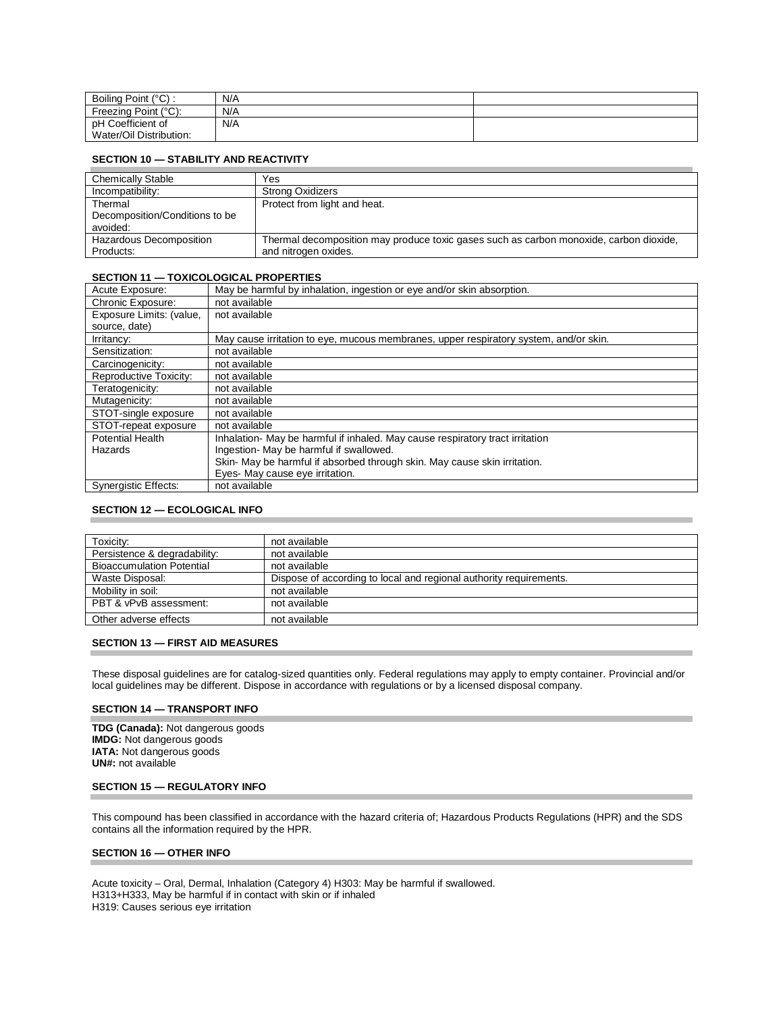| Boiling Point (°C) :    | N/A |  |
|-------------------------|-----|--|
| Freezing Point (°C):    | N/A |  |
| pH Coefficient of       | N/A |  |
| Water/Oil Distribution: |     |  |

## **SECTION 10 — STABILITY AND REACTIVITY**

| <b>Chemically Stable</b>       | Yes                                                                                    |
|--------------------------------|----------------------------------------------------------------------------------------|
| Incompatibility:               | <b>Strong Oxidizers</b>                                                                |
| Thermal                        | Protect from light and heat.                                                           |
| Decomposition/Conditions to be |                                                                                        |
| avoided:                       |                                                                                        |
| Hazardous Decomposition        | Thermal decomposition may produce toxic gases such as carbon monoxide, carbon dioxide, |
| Products:                      | and nitrogen oxides.                                                                   |

#### **SECTION 11 — TOXICOLOGICAL PROPERTIES**

| Acute Exposure:             | May be harmful by inhalation, ingestion or eye and/or skin absorption.                |
|-----------------------------|---------------------------------------------------------------------------------------|
| Chronic Exposure:           | not available                                                                         |
| Exposure Limits: (value,    | not available                                                                         |
| source, date)               |                                                                                       |
| Irritancy:                  | May cause irritation to eye, mucous membranes, upper respiratory system, and/or skin. |
| Sensitization:              | not available                                                                         |
| Carcinogenicity:            | not available                                                                         |
| Reproductive Toxicity:      | not available                                                                         |
| Teratogenicity:             | not available                                                                         |
| Mutagenicity:               | not available                                                                         |
| STOT-single exposure        | not available                                                                         |
| STOT-repeat exposure        | not available                                                                         |
| <b>Potential Health</b>     | Inhalation- May be harmful if inhaled. May cause respiratory tract irritation         |
| Hazards                     | Ingestion- May be harmful if swallowed.                                               |
|                             | Skin- May be harmful if absorbed through skin. May cause skin irritation.             |
|                             | Eyes- May cause eye irritation.                                                       |
| <b>Synergistic Effects:</b> | not available                                                                         |

#### **SECTION 12 — ECOLOGICAL INFO**

| Toxicity:                        | not available                                                      |
|----------------------------------|--------------------------------------------------------------------|
| Persistence & degradability:     | not available                                                      |
| <b>Bioaccumulation Potential</b> | not available                                                      |
| Waste Disposal:                  | Dispose of according to local and regional authority requirements. |
| Mobility in soil:                | not available                                                      |
| PBT & vPvB assessment:           | not available                                                      |
| Other adverse effects            | not available                                                      |

#### **SECTION 13 — FIRST AID MEASURES**

These disposal guidelines are for catalog-sized quantities only. Federal regulations may apply to empty container. Provincial and/or local guidelines may be different. Dispose in accordance with regulations or by a licensed disposal company.

#### **SECTION 14 — TRANSPORT INFO**

**TDG (Canada):** Not dangerous goods **IMDG:** Not dangerous goods **IATA:** Not dangerous goods **UN#:** not available

#### **SECTION 15 — REGULATORY INFO**

This compound has been classified in accordance with the hazard criteria of; Hazardous Products Regulations (HPR) and the SDS contains all the information required by the HPR.

#### **SECTION 16 — OTHER INFO**

Acute toxicity – Oral, Dermal, Inhalation (Category 4) H303: May be harmful if swallowed. H313+H333, May be harmful if in contact with skin or if inhaled H319: Causes serious eye irritation